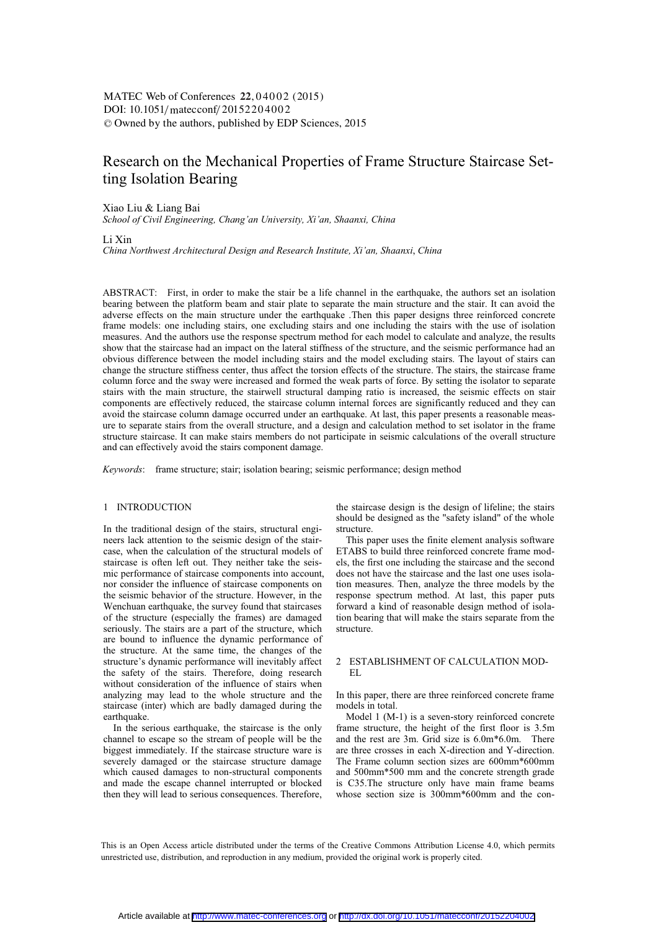# DOI:  $10.1051/m \text{ at } 20152204002$ -<sup>C</sup> Owned by the authors, published by EDP Sciences, 2015 MATEC Web of Conferences 22, 04002 (2015)

# Research on the Mechanical Properties of Frame Structure Staircase Setting Isolation Bearing

#### Xiao Liu & Liang Bai

*School of Civil Engineering, Chang'an University, Xi'an, Shaanxi, China* 

Li Xin

*China Northwest Architectural Design and Research Institute, Xi'an, Shaanxi*, *China* 

ABSTRACT: First, in order to make the stair be a life channel in the earthquake, the authors set an isolation bearing between the platform beam and stair plate to separate the main structure and the stair. It can avoid the adverse effects on the main structure under the earthquake .Then this paper designs three reinforced concrete frame models: one including stairs, one excluding stairs and one including the stairs with the use of isolation measures. And the authors use the response spectrum method for each model to calculate and analyze, the results show that the staircase had an impact on the lateral stiffness of the structure, and the seismic performance had an obvious difference between the model including stairs and the model excluding stairs. The layout of stairs can change the structure stiffness center, thus affect the torsion effects of the structure. The stairs, the staircase frame column force and the sway were increased and formed the weak parts of force. By setting the isolator to separate stairs with the main structure, the stairwell structural damping ratio is increased, the seismic effects on stair components are effectively reduced, the staircase column internal forces are significantly reduced and they can avoid the staircase column damage occurred under an earthquake. At last, this paper presents a reasonable measure to separate stairs from the overall structure, and a design and calculation method to set isolator in the frame structure staircase. It can make stairs members do not participate in seismic calculations of the overall structure and can effectively avoid the stairs component damage.

*Keywords*: frame structure; stair; isolation bearing; seismic performance; design method

## 1 INTRODUCTION

In the traditional design of the stairs, structural engineers lack attention to the seismic design of the staircase, when the calculation of the structural models of staircase is often left out. They neither take the seismic performance of staircase components into account, nor consider the influence of staircase components on the seismic behavior of the structure. However, in the Wenchuan earthquake, the survey found that staircases of the structure (especially the frames) are damaged seriously. The stairs are a part of the structure, which are bound to influence the dynamic performance of the structure. At the same time, the changes of the structure's dynamic performance will inevitably affect the safety of the stairs. Therefore, doing research without consideration of the influence of stairs when analyzing may lead to the whole structure and the staircase (inter) which are badly damaged during the earthquake.

In the serious earthquake, the staircase is the only channel to escape so the stream of people will be the biggest immediately. If the staircase structure ware is severely damaged or the staircase structure damage which caused damages to non-structural components and made the escape channel interrupted or blocked then they will lead to serious consequences. Therefore, the staircase design is the design of lifeline; the stairs should be designed as the "safety island" of the whole structure.

This paper uses the finite element analysis software ETABS to build three reinforced concrete frame models, the first one including the staircase and the second does not have the staircase and the last one uses isolation measures. Then, analyze the three models by the response spectrum method. At last, this paper puts forward a kind of reasonable design method of isolation bearing that will make the stairs separate from the structure.

## 2 ESTABLISHMENT OF CALCULATION MOD-EL

In this paper, there are three reinforced concrete frame models in total.

Model 1 (M-1) is a seven-story reinforced concrete frame structure, the height of the first floor is 3.5m and the rest are 3m. Grid size is 6.0m\*6.0m. There are three crosses in each X-direction and Y-direction. The Frame column section sizes are 600mm\*600mm and 500mm\*500 mm and the concrete strength grade is C35.The structure only have main frame beams whose section size is 300mm\*600mm and the con-

This is an Open Access article distributed under the terms of the Creative Commons Attribution License 4.0, which permits unrestricted use, distribution, and reproduction in any medium, provided the original work is properly cited.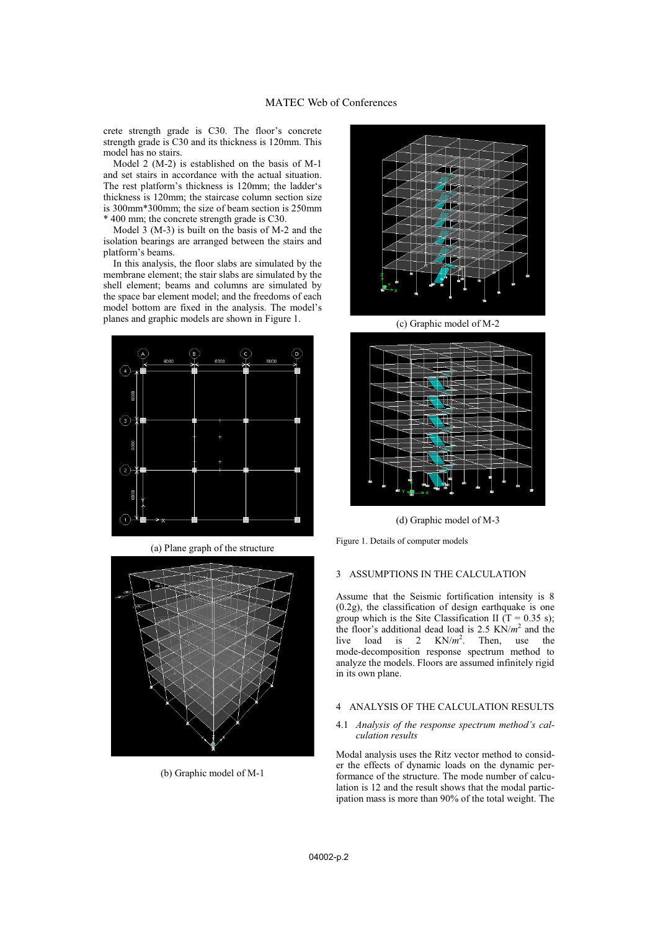crete strength grade is C30. The floor's concrete strength grade is C30 and its thickness is 120mm. This model has no stairs.

Model 2 (M-2) is established on the basis of M-1 and set stairs in accordance with the actual situation. The rest platform's thickness is 120mm; the ladder's thickness is 120mm; the staircase column section size is 300mm\*300mm; the size of beam section is 250mm \* 400 mm; the concrete strength grade is C30.

Model 3 (M-3) is built on the basis of M-2 and the isolation bearings are arranged between the stairs and platform's beams.

In this analysis, the floor slabs are simulated by the membrane element; the stair slabs are simulated by the shell element; beams and columns are simulated by the space bar element model; and the freedoms of each model bottom are fixed in the analysis. The model's planes and graphic models are shown in Figure 1.



(a) Plane graph of the structure



(b) Graphic model of M-1



(c) Graphic model of M-2



(d) Graphic model of M-3

Figure 1. Details of computer models

## 3 ASSUMPTIONS IN THE CALCULATION

Assume that the Seismic fortification intensity is 8 (0.2g), the classification of design earthquake is one group which is the Site Classification II (T =  $0.35$  s); the floor's additional dead load is 2.5 KN/*m*<sup>2</sup> and the live load is 2  $KN/m^2$ . . Then, use the mode-decomposition response spectrum method to analyze the models. Floors are assumed infinitely rigid in its own plane.

# 4 ANALYSIS OF THE CALCULATION RESULTS

#### 4.1 *Analysis of the response spectrum method's calculation results*

Modal analysis uses the Ritz vector method to consider the effects of dynamic loads on the dynamic performance of the structure. The mode number of calculation is 12 and the result shows that the modal participation mass is more than 90% of the total weight. The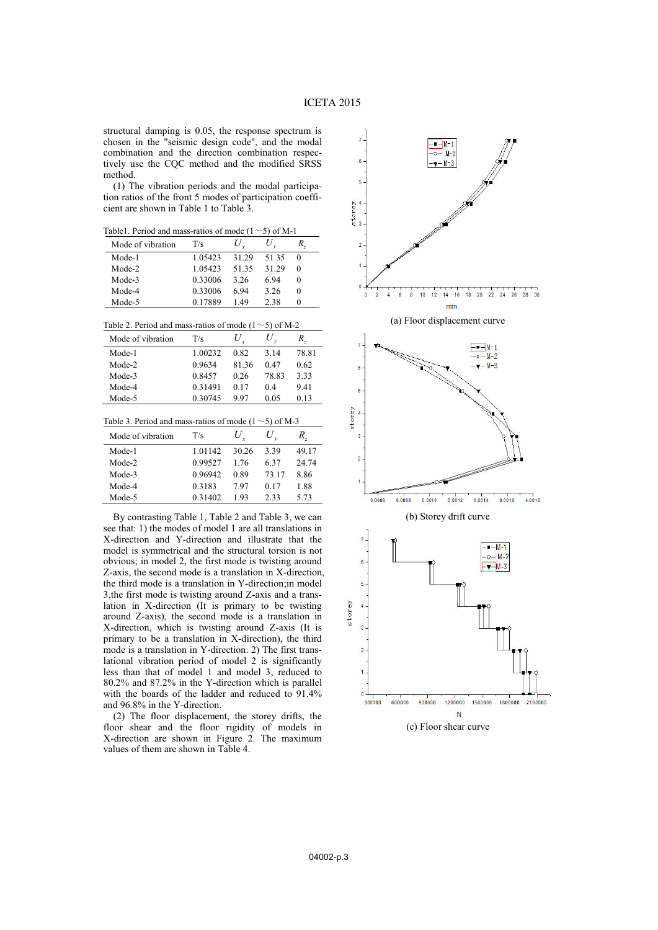structural damping is 0.05, the response spectrum is chosen in the "seismic design code", and the modal combination and the direction combination respectively use the CQC method and the modified SRSS method.

(1) The vibration periods and the modal participation ratios of the front 5 modes of participation coefficient are shown in Table 1 to Table 3.

Table1. Period and mass-ratios of mode  $(1 \sim 5)$  of M-1

| Tuble 1. Terrou and mass futios of mode |         |       | 7.01111 |        |
|-----------------------------------------|---------|-------|---------|--------|
| Mode of vibration                       | T/s     |       |         |        |
| Mode-1                                  | 1.05423 | 31 29 | 51 35   | 0      |
| Mode-2                                  | 1.05423 | 5135  | 31 29   | 0      |
| Mode-3                                  | 0.33006 | 3.26  | 694     | $_{0}$ |
| Mode-4                                  | 0.33006 | 6 94  | 3.26    | 0      |
| Mode-5                                  | 0.17889 | 149   | 2.38    |        |

| Table 2. Period and mass-ratios of mode $(1\sim 5)$ of M-2 |  |  |
|------------------------------------------------------------|--|--|
|------------------------------------------------------------|--|--|

| Mode of vibration | T/s     | U    |       | R.    |
|-------------------|---------|------|-------|-------|
| Mode-1            | 1.00232 | 0.82 | 3 1 4 | 78.81 |
| Mode-2            | 0.9634  | 8136 | 0.47  | 0.62  |
| Mode-3            | 0.8457  | 0.26 | 78.83 | 3.33  |
| Mode-4            | 0.31491 | 0.17 | 04    | 941   |
| Mode-5            | 0.30745 | 997  | 0.05  | 0.13  |

| Table 3. Period and mass-ratios of mode $(1\sim 5)$ of M-3 |  |  |
|------------------------------------------------------------|--|--|
|------------------------------------------------------------|--|--|

| Mode of vibration | T/s         | $U_{r}$ |       | R.,   |
|-------------------|-------------|---------|-------|-------|
| Mode-1            | 1 0 1 1 4 2 | 30.26   | 339   | 49.17 |
| Mode-2            | 0.99527     | 176     | 637   | 24.74 |
| Mode-3            | 0.96942     | 0.89    | 73 17 | 8 86  |
| Mode-4            | 0.3183      | 797     | 0.17  | 1.88  |
| Mode-5            | 0.31402     | 193     | 233   | 5.73  |

By contrasting Table 1, Table 2 and Table 3, we can see that: 1) the modes of model 1 are all translations in X-direction and Y-direction and illustrate that the model is symmetrical and the structural torsion is not obvious; in model 2, the first mode is twisting around Z-axis, the second mode is a translation in X-direction, the third mode is a translation in Y-direction;in model 3,the first mode is twisting around Z-axis and a translation in X-direction (It is primary to be twisting around Z-axis), the second mode is a translation in X-direction, which is twisting around Z-axis (It is primary to be a translation in X-direction), the third mode is a translation in Y-direction. 2) The first translational vibration period of model 2 is significantly less than that of model 1 and model 3, reduced to 80.2% and 87.2% in the Y-direction which is parallel with the boards of the ladder and reduced to 91.4% and 96.8% in the Y-direction.

(2) The floor displacement, the storey drifts, the floor shear and the floor rigidity of models in X-direction are shown in Figure 2. The maximum values of them are shown in Table 4.

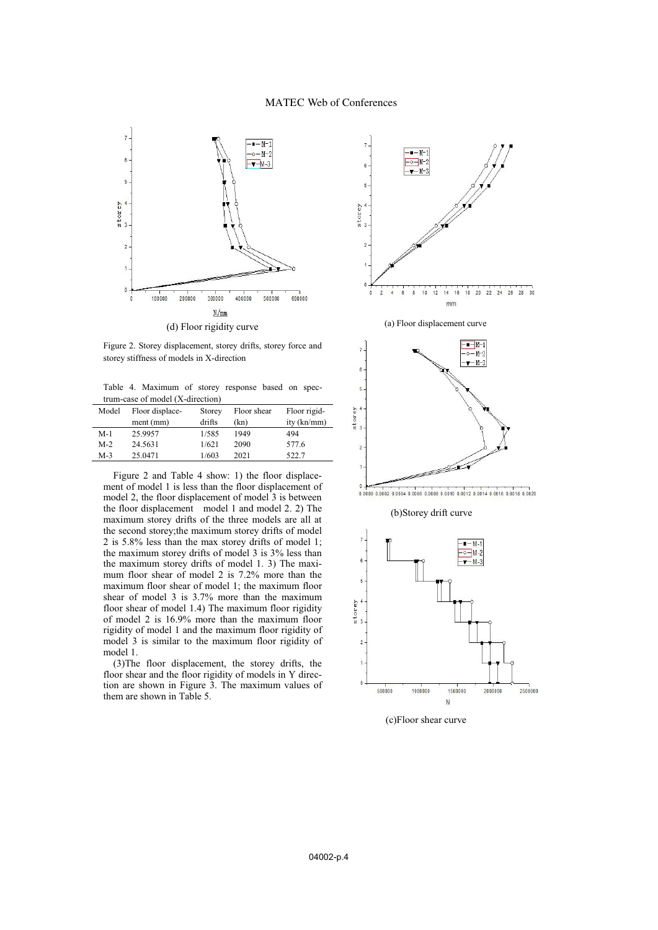# MATEC Web of Conferences



Figure 2. Storey displacement, storey drifts, storey force and storey stiffness of models in X-direction

Table 4. Maximum of storey response based on spectrum-case of model (X-direction)

| Model | Floor displace- | Storey | Floor shear | Floor rigid-  |
|-------|-----------------|--------|-------------|---------------|
|       | ment (mm)       | drifts | (kn)        | ity $(kn/mm)$ |
| $M-1$ | 25.9957         | 1/585  | 1949        | 494           |
| $M-2$ | 24.5631         | 1/621  | 2090        | 577.6         |
| $M-3$ | 25.0471         | 1/603  | 2021        | 522.7         |

Figure 2 and Table 4 show: 1) the floor displacement of model 1 is less than the floor displacement of model 2, the floor displacement of model 3 is between the floor displacement model 1 and model 2. 2) The maximum storey drifts of the three models are all at the second storey;the maximum storey drifts of model 2 is 5.8% less than the max storey drifts of model 1; the maximum storey drifts of model 3 is 3% less than the maximum storey drifts of model 1. 3) The maximum floor shear of model 2 is 7.2% more than the maximum floor shear of model 1; the maximum floor shear of model 3 is 3.7% more than the maximum floor shear of model 1.4) The maximum floor rigidity of model 2 is 16.9% more than the maximum floor rigidity of model 1 and the maximum floor rigidity of model 3 is similar to the maximum floor rigidity of model 1.

(3)The floor displacement, the storey drifts, the floor shear and the floor rigidity of models in Y direction are shown in Figure 3. The maximum values of them are shown in Table 5.



(a) Floor displacement curve



0.0000 0.0002 0.0004 0.0006 0.0008 0.0010 0.0012 0.0014 0.0016 0.0018 0.0020

## (b)Storey drift curve



(c)Floor shear curve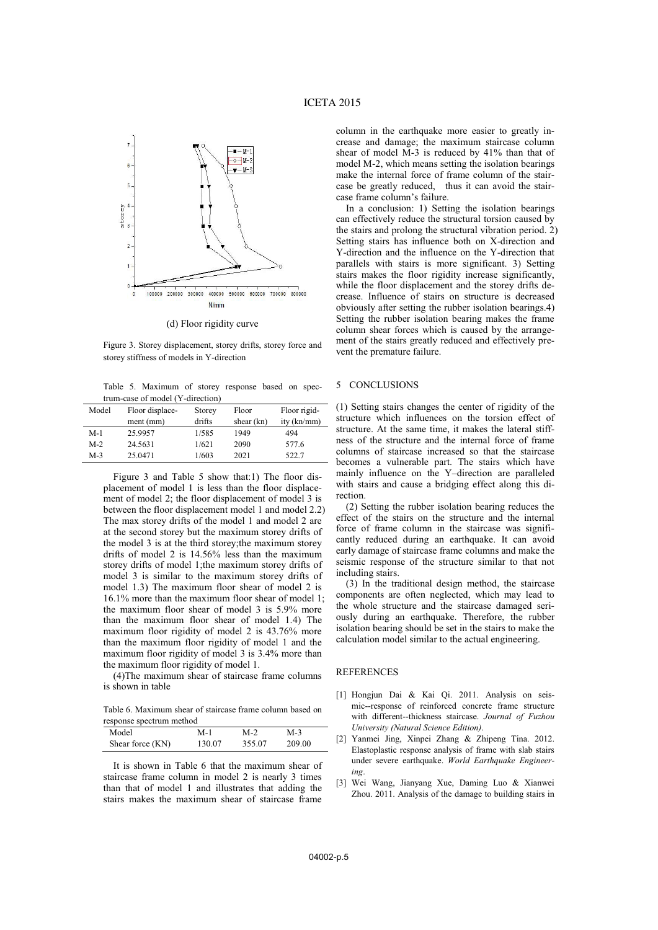

(d) Floor rigidity curve

Figure 3. Storey displacement, storey drifts, storey force and storey stiffness of models in Y-direction

Table 5. Maximum of storey response based on spectrum-case of model (Y-direction)

| Model | Floor displace- | Storey | Floor        | Floor rigid- |
|-------|-----------------|--------|--------------|--------------|
|       | ment (mm)       | drifts | shear $(kn)$ | ity (kn/mm)  |
| $M-1$ | 25.9957         | 1/585  | 1949         | 494          |
| $M-2$ | 24.5631         | 1/621  | 2090         | 577.6        |
| $M-3$ | 25.0471         | 1/603  | 2021         | 522.7        |

Figure 3 and Table 5 show that:1) The floor displacement of model 1 is less than the floor displacement of model 2; the floor displacement of model 3 is between the floor displacement model 1 and model 2.2) The max storey drifts of the model 1 and model 2 are at the second storey but the maximum storey drifts of the model 3 is at the third storey;the maximum storey drifts of model 2 is 14.56% less than the maximum storey drifts of model 1;the maximum storey drifts of model 3 is similar to the maximum storey drifts of model 1.3) The maximum floor shear of model 2 is 16.1% more than the maximum floor shear of model 1; the maximum floor shear of model 3 is 5.9% more than the maximum floor shear of model 1.4) The maximum floor rigidity of model 2 is 43.76% more than the maximum floor rigidity of model 1 and the maximum floor rigidity of model 3 is 3.4% more than the maximum floor rigidity of model 1.

(4)The maximum shear of staircase frame columns is shown in table

Table 6. Maximum shear of staircase frame column based on response spectrum method

| Model            | M-1    | M-2    | $M-3$  |
|------------------|--------|--------|--------|
| Shear force (KN) | 130.07 | 355.07 | 209.00 |

It is shown in Table 6 that the maximum shear of staircase frame column in model 2 is nearly 3 times than that of model 1 and illustrates that adding the stairs makes the maximum shear of staircase frame

column in the earthquake more easier to greatly increase and damage; the maximum staircase column shear of model M-3 is reduced by 41% than that of model M-2, which means setting the isolation bearings make the internal force of frame column of the staircase be greatly reduced, thus it can avoid the staircase frame column's failure.

In a conclusion: 1) Setting the isolation bearings can effectively reduce the structural torsion caused by the stairs and prolong the structural vibration period. 2) Setting stairs has influence both on X-direction and Y-direction and the influence on the Y-direction that parallels with stairs is more significant. 3) Setting stairs makes the floor rigidity increase significantly, while the floor displacement and the storey drifts decrease. Influence of stairs on structure is decreased obviously after setting the rubber isolation bearings.4) Setting the rubber isolation bearing makes the frame column shear forces which is caused by the arrangement of the stairs greatly reduced and effectively prevent the premature failure.

## 5 CONCLUSIONS

(1) Setting stairs changes the center of rigidity of the structure which influences on the torsion effect of structure. At the same time, it makes the lateral stiffness of the structure and the internal force of frame columns of staircase increased so that the staircase becomes a vulnerable part. The stairs which have mainly influence on the Y–direction are paralleled with stairs and cause a bridging effect along this direction.

(2) Setting the rubber isolation bearing reduces the effect of the stairs on the structure and the internal force of frame column in the staircase was significantly reduced during an earthquake. It can avoid early damage of staircase frame columns and make the seismic response of the structure similar to that not including stairs.

(3) In the traditional design method, the staircase components are often neglected, which may lead to the whole structure and the staircase damaged seriously during an earthquake. Therefore, the rubber isolation bearing should be set in the stairs to make the calculation model similar to the actual engineering.

#### REFERENCES

- [1] Hongjun Dai & Kai Qi. 2011. Analysis on seismic--response of reinforced concrete frame structure with different--thickness staircase. *Journal of Fuzhou University (Natural Science Edition)*.
- [2] Yanmei Jing, Xinpei Zhang & Zhipeng Tina. 2012. Elastoplastic response analysis of frame with slab stairs under severe earthquake. *World Earthquake Engineering*.
- [3] Wei Wang, Jianyang Xue, Daming Luo & Xianwei Zhou. 2011. Analysis of the damage to building stairs in